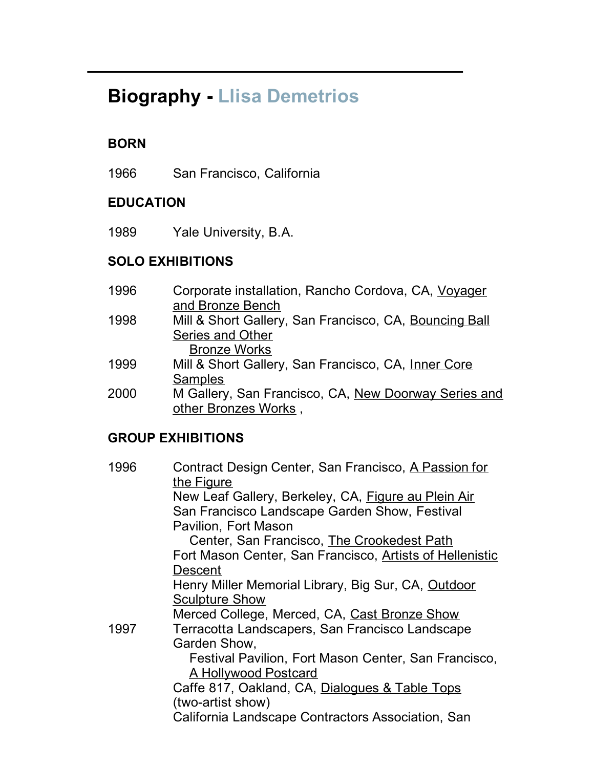# **Biography - Llisa Demetrios**

## **BORN**

1966 San Francisco, California

#### **EDUCATION**

1989 Yale University, B.A.

### **SOLO EXHIBITIONS**

- 1996 Corporate installation, Rancho Cordova, CA, Voyager and Bronze Bench
- 1998 Mill & Short Gallery, San Francisco, CA, Bouncing Ball Series and Other

Bronze Works

- 1999 Mill & Short Gallery, San Francisco, CA, Inner Core **Samples**
- 2000 M Gallery, San Francisco, CA, New Doorway Series and other Bronzes Works ,

#### **GROUP EXHIBITIONS**

| 1996 | Contract Design Center, San Francisco, A Passion for              |
|------|-------------------------------------------------------------------|
|      | the Figure<br>New Leaf Gallery, Berkeley, CA, Figure au Plein Air |
|      | San Francisco Landscape Garden Show, Festival                     |
|      | Pavilion, Fort Mason                                              |
|      | Center, San Francisco, The Crookedest Path                        |
|      | Fort Mason Center, San Francisco, Artists of Hellenistic          |
|      | <b>Descent</b>                                                    |
|      | Henry Miller Memorial Library, Big Sur, CA, Outdoor               |
|      | <b>Sculpture Show</b>                                             |
|      | Merced College, Merced, CA, Cast Bronze Show                      |
| 1997 | Terracotta Landscapers, San Francisco Landscape                   |
|      | Garden Show,                                                      |
|      | Festival Pavilion, Fort Mason Center, San Francisco,              |
|      | A Hollywood Postcard                                              |
|      | Caffe 817, Oakland, CA, Dialogues & Table Tops                    |
|      | (two-artist show)                                                 |
|      | California Landscape Contractors Association, San                 |